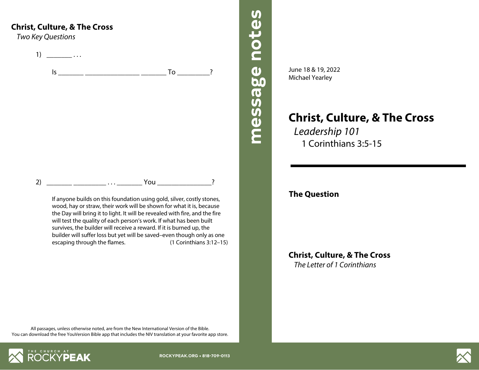## **Christ, Culture, & The Cross**

*Two Key Questions*

1)  $\frac{1}{2}$  ...  $\mathsf{I}$ s  $\mathsf{I}$ 2) \_\_\_\_\_\_\_ \_\_\_\_\_\_\_\_\_ . . . \_\_\_\_\_\_\_ You \_\_\_\_\_\_\_\_\_\_\_\_\_\_\_?

> If anyone builds on this foundation using gold, silver, costly stones, wood, hay or straw, their work will be shown for what it is, because the Day will bring it to light. It will be revealed with fire, and the fire will test the quality of each person's work. If what has been built survives, the builder will receive a reward. If it is burned up, the builder will suffer loss but yet will be saved–even though only as one escaping through the flames. (1 Corinthians 3:12–15)

June 18 & 19, 2022 Michael Yearley

**message notes message notes**

message notes

**Christ, Culture, & The Cross** *Leadership 101* 1 Corinthians 3:5-15

## **The Question**

**Christ, Culture, & The Cross** *The Letter of 1 Corinthians*

All passages, unless otherwise noted, are from the New International Version of the Bible. You can download the free YouVersion Bible app that includes the NIV translation at your favorite app store.